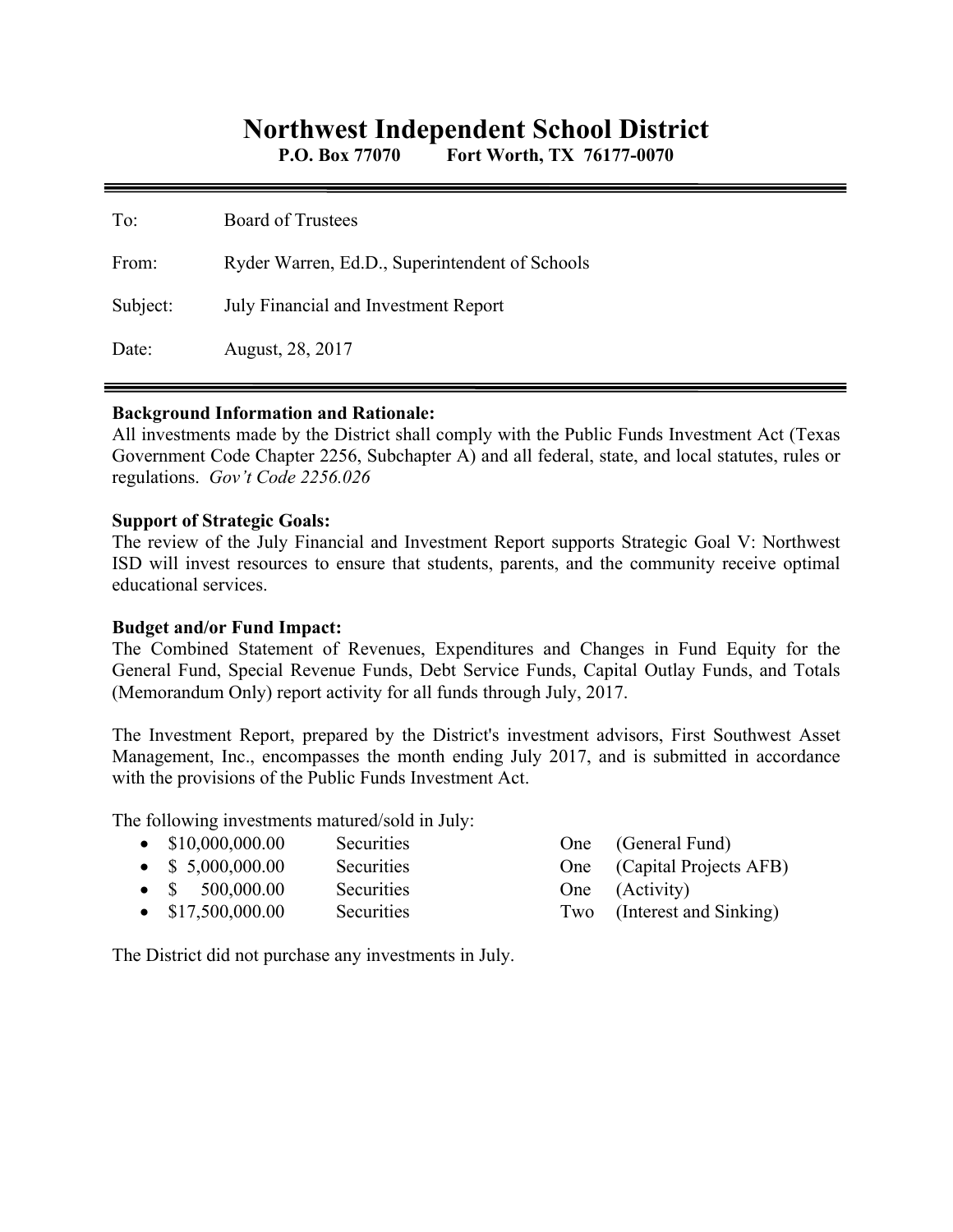# **Northwest Independent School District**

**P.O. Box 77070 Fort Worth, TX 76177-0070** 

| To:      | <b>Board of Trustees</b>                       |
|----------|------------------------------------------------|
| From:    | Ryder Warren, Ed.D., Superintendent of Schools |
| Subject: | July Financial and Investment Report           |
| Date:    | August, 28, 2017                               |

#### **Background Information and Rationale:**

All investments made by the District shall comply with the Public Funds Investment Act (Texas Government Code Chapter 2256, Subchapter A) and all federal, state, and local statutes, rules or regulations. *Gov't Code 2256.026* 

### **Support of Strategic Goals:**

The review of the July Financial and Investment Report supports Strategic Goal V: Northwest ISD will invest resources to ensure that students, parents, and the community receive optimal educational services.

## **Budget and/or Fund Impact:**

The Combined Statement of Revenues, Expenditures and Changes in Fund Equity for the General Fund, Special Revenue Funds, Debt Service Funds, Capital Outlay Funds, and Totals (Memorandum Only) report activity for all funds through July, 2017.

The Investment Report, prepared by the District's investment advisors, First Southwest Asset Management, Inc., encompasses the month ending July 2017, and is submitted in accordance with the provisions of the Public Funds Investment Act.

The following investments matured/sold in July:

| $\bullet$ \$10,000,000.00 | Securities        | One (General Fund)         |
|---------------------------|-------------------|----------------------------|
| $\bullet$ \$ 5,000,000.00 | <b>Securities</b> | One (Capital Projects AFB) |
| $\bullet$ \$ 500,000.00   | <b>Securities</b> | One (Activity)             |
| $\bullet$ \$17,500,000.00 | <b>Securities</b> | Two (Interest and Sinking) |

The District did not purchase any investments in July.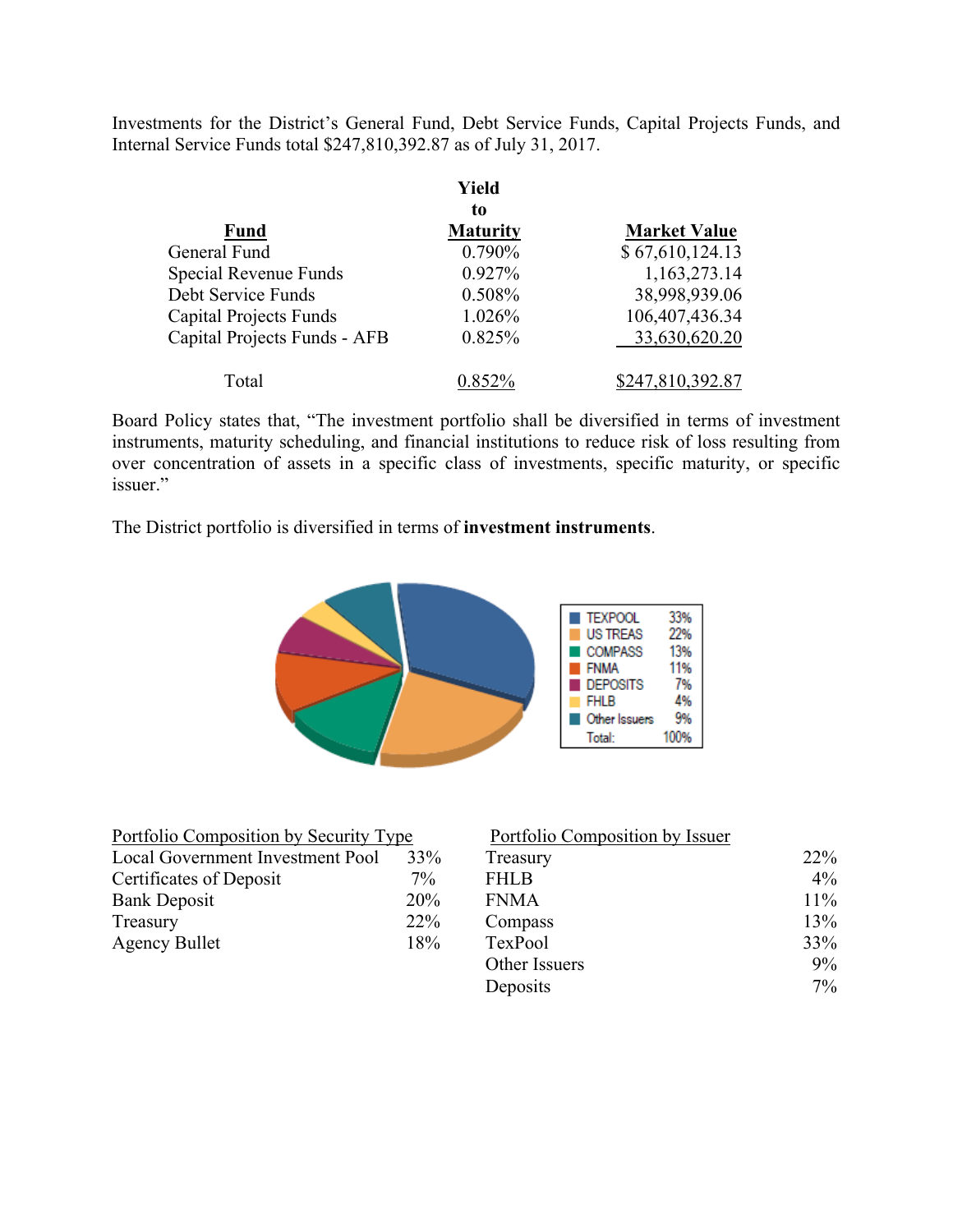Investments for the District's General Fund, Debt Service Funds, Capital Projects Funds, and Internal Service Funds total \$247,810,392.87 as of July 31, 2017.

|                               | Yield<br>to     |                     |
|-------------------------------|-----------------|---------------------|
| <b>Fund</b>                   | <b>Maturity</b> | <b>Market Value</b> |
| General Fund                  | 0.790%          | \$67,610,124.13     |
| Special Revenue Funds         | 0.927%          | 1,163,273.14        |
| Debt Service Funds            | 0.508%          | 38,998,939.06       |
| <b>Capital Projects Funds</b> | 1.026%          | 106,407,436.34      |
| Capital Projects Funds - AFB  | 0.825%          | 33,630,620.20       |
| Total                         | $0.852\%$       | \$247,810,392.87    |

Board Policy states that, "The investment portfolio shall be diversified in terms of investment instruments, maturity scheduling, and financial institutions to reduce risk of loss resulting from over concentration of assets in a specific class of investments, specific maturity, or specific issuer."

The District portfolio is diversified in terms of **investment instruments**.



| Portfolio Composition by Security Type |       | Portfolio Composition by Issuer |
|----------------------------------------|-------|---------------------------------|
| Local Government Investment Pool       | 33%   | Treasury                        |
| Certificates of Deposit                | $7\%$ | <b>FHLB</b>                     |
| <b>Bank Deposit</b>                    | 20%   | <b>FNMA</b>                     |
| Treasury                               | 22%   | Compass                         |
| <b>Agency Bullet</b>                   | 18%   | TexPool                         |
|                                        |       |                                 |

| Portfolio Composition by Security Type |       | Portfolio Composition by Issuer |       |
|----------------------------------------|-------|---------------------------------|-------|
| Local Government Investment Pool       | 33%   | Treasury                        | 22%   |
| Certificates of Deposit                | $7\%$ | <b>FHLB</b>                     | $4\%$ |
| Bank Deposit                           | 20%   | <b>FNMA</b>                     | 11%   |
| Treasury                               | 22%   | Compass                         | 13%   |
| Agency Bullet                          | 18%   | TexPool                         | 33%   |
|                                        |       | Other Issuers                   | $9\%$ |
|                                        |       | Deposits                        | $7\%$ |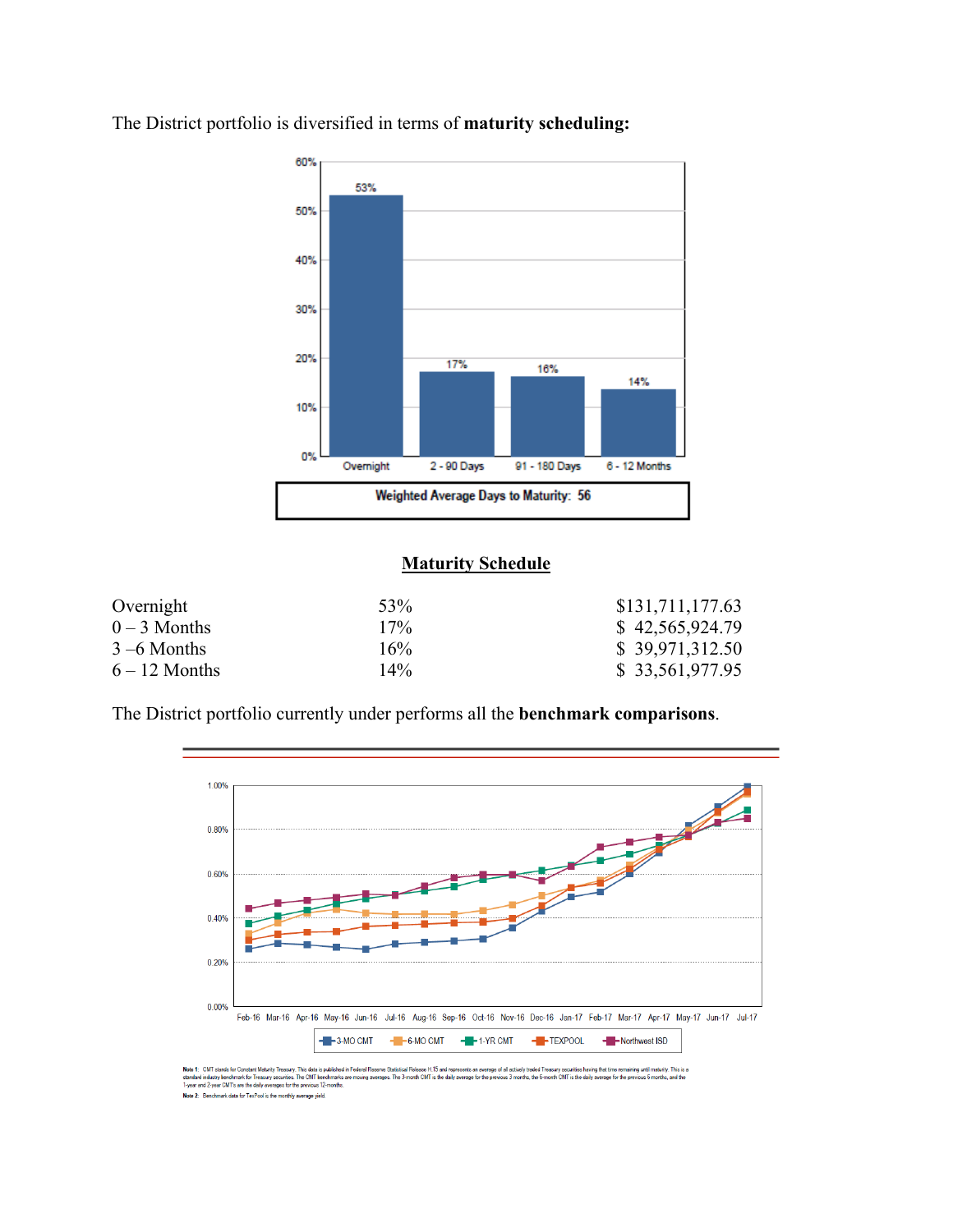

The District portfolio is diversified in terms of **maturity scheduling:** 

### **Maturity Schedule**

| Overnight       | 53%    | \$131,711,177.63 |
|-----------------|--------|------------------|
| $0-3$ Months    | $17\%$ | \$42,565,924.79  |
| $3 - 6$ Months  | $16\%$ | \$39,971,312.50  |
| $6 - 12$ Months | $14\%$ | \$ 33,561,977.95 |

The District portfolio currently under performs all the **benchmark comparisons**.



Note 1: CMT stands for Constant Maturity Treasury. This data is published in Federal Research Stations Photoster 115 and represents an average of all actively traded in essay securides having that time remaining until matu Note 2: Benchmark data for TexPool is the monthly average yield.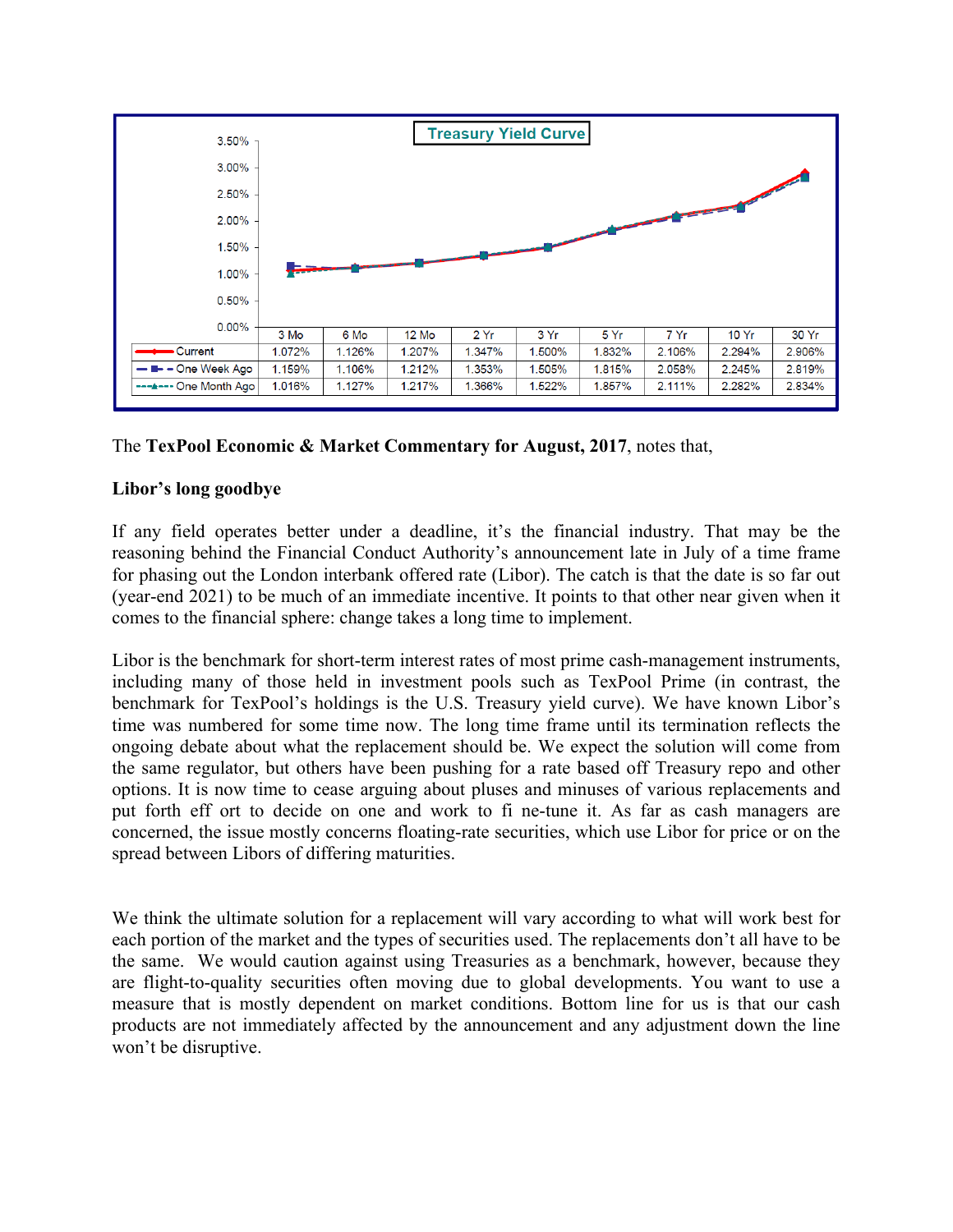

The **TexPool Economic & Market Commentary for August, 2017**, notes that,

# **Libor's long goodbye**

If any field operates better under a deadline, it's the financial industry. That may be the reasoning behind the Financial Conduct Authority's announcement late in July of a time frame for phasing out the London interbank offered rate (Libor). The catch is that the date is so far out (year-end 2021) to be much of an immediate incentive. It points to that other near given when it comes to the financial sphere: change takes a long time to implement.

Libor is the benchmark for short-term interest rates of most prime cash-management instruments, including many of those held in investment pools such as TexPool Prime (in contrast, the benchmark for TexPool's holdings is the U.S. Treasury yield curve). We have known Libor's time was numbered for some time now. The long time frame until its termination reflects the ongoing debate about what the replacement should be. We expect the solution will come from the same regulator, but others have been pushing for a rate based off Treasury repo and other options. It is now time to cease arguing about pluses and minuses of various replacements and put forth eff ort to decide on one and work to fi ne-tune it. As far as cash managers are concerned, the issue mostly concerns floating-rate securities, which use Libor for price or on the spread between Libors of differing maturities.

We think the ultimate solution for a replacement will vary according to what will work best for each portion of the market and the types of securities used. The replacements don't all have to be the same. We would caution against using Treasuries as a benchmark, however, because they are flight-to-quality securities often moving due to global developments. You want to use a measure that is mostly dependent on market conditions. Bottom line for us is that our cash products are not immediately affected by the announcement and any adjustment down the line won't be disruptive.